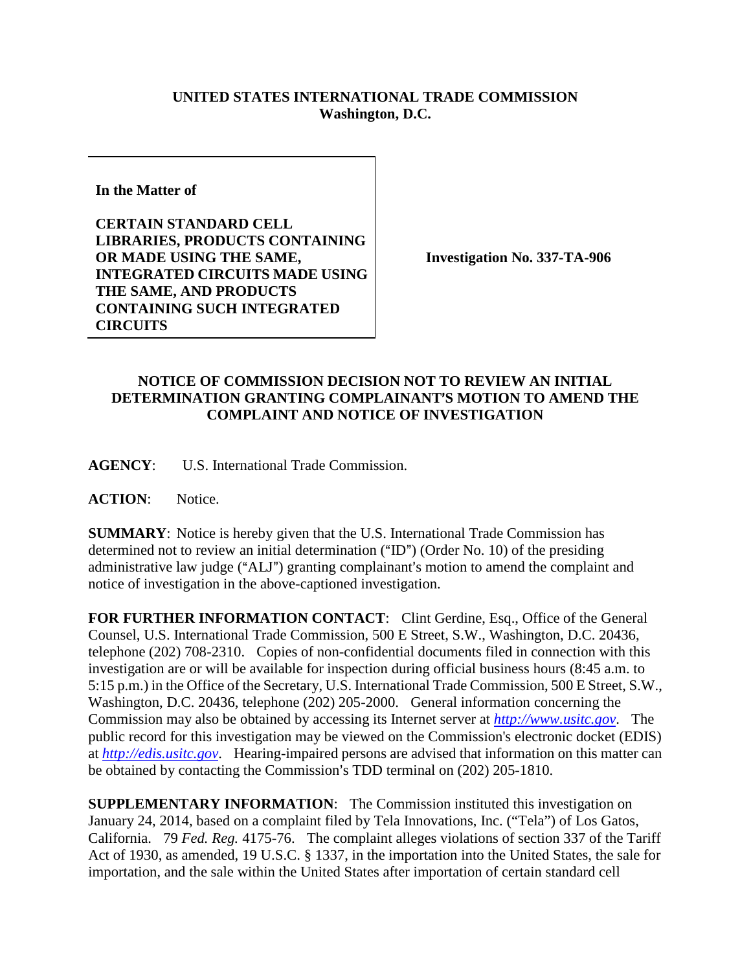## **UNITED STATES INTERNATIONAL TRADE COMMISSION Washington, D.C.**

**In the Matter of** 

**CERTAIN STANDARD CELL LIBRARIES, PRODUCTS CONTAINING OR MADE USING THE SAME, INTEGRATED CIRCUITS MADE USING THE SAME, AND PRODUCTS CONTAINING SUCH INTEGRATED CIRCUITS**

**Investigation No. 337-TA-906**

## **NOTICE OF COMMISSION DECISION NOT TO REVIEW AN INITIAL DETERMINATION GRANTING COMPLAINANT'S MOTION TO AMEND THE COMPLAINT AND NOTICE OF INVESTIGATION**

**AGENCY**: U.S. International Trade Commission.

**ACTION**: Notice.

**SUMMARY**: Notice is hereby given that the U.S. International Trade Commission has determined not to review an initial determination ( $\text{m}$ ) (Order No. 10) of the presiding administrative law judge ("ALJ") granting complainant's motion to amend the complaint and notice of investigation in the above-captioned investigation.

FOR FURTHER INFORMATION CONTACT: Clint Gerdine, Esq., Office of the General Counsel, U.S. International Trade Commission, 500 E Street, S.W., Washington, D.C. 20436, telephone (202) 708-2310. Copies of non-confidential documents filed in connection with this investigation are or will be available for inspection during official business hours (8:45 a.m. to 5:15 p.m.) in the Office of the Secretary, U.S. International Trade Commission, 500 E Street, S.W., Washington, D.C. 20436, telephone (202) 205-2000. General information concerning the Commission may also be obtained by accessing its Internet server at *[http://www.usitc.gov](http://www.usitc.gov/)*. The public record for this investigation may be viewed on the Commission's electronic docket (EDIS) at *[http://edis.usitc.gov](http://edis.usitc.gov/)*. Hearing-impaired persons are advised that information on this matter can be obtained by contacting the Commission's TDD terminal on  $(202)$  205-1810.

**SUPPLEMENTARY INFORMATION:** The Commission instituted this investigation on January 24, 2014, based on a complaint filed by Tela Innovations, Inc. ("Tela") of Los Gatos, California. 79 *Fed. Reg.* 4175-76. The complaint alleges violations of section 337 of the Tariff Act of 1930, as amended, 19 U.S.C. § 1337, in the importation into the United States, the sale for importation, and the sale within the United States after importation of certain standard cell